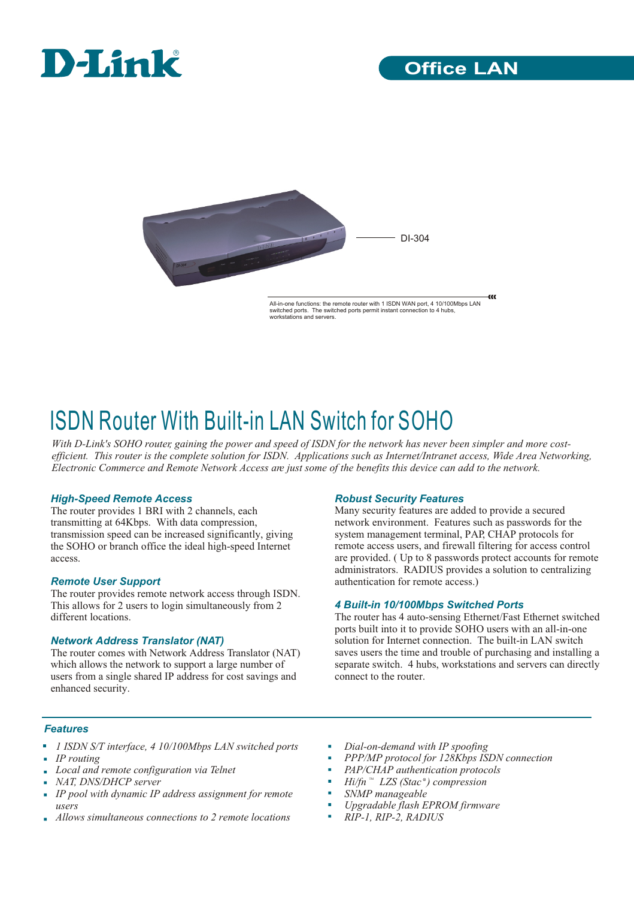



All-in-one functions: the remote router with 1 ISDN WAN port, 4 10/100Mbps LAN<br>switched ports. The switched ports permit instant connection to 4 bubs switched ports. The switched ports permit instant conne workstations and servers.

# ISDN Router With Built-in LAN Switch for SOHO

*With D-Link's SOHO router, gaining the power and speed of ISDN for the network has never been simpler and more costefficient. This router is the complete solution for ISDN. Applications such as Internet/Intranet access, Wide Area Networking, Electronic Commerce and Remote Network Access are just some of the benefits this device can add to the network.* 

#### *High-Speed Remote Access*

The router provides 1 BRI with 2 channels, each transmitting at 64Kbps. With data compression, transmission speed can be increased significantly, giving the SOHO or branch office the ideal high-speed Internet access.

#### *Remote User Support*

The router provides remote network access through ISDN. This allows for 2 users to login simultaneously from 2 different locations.

#### *Network Address Translator (NAT)*

The router comes with Network Address Translator (NAT) which allows the network to support a large number of users from a single shared IP address for cost savings and enhanced security.

#### *Robust Security Features*

Many security features are added to provide a secured network environment. Features such as passwords for the system management terminal, PAP, CHAP protocols for remote access users, and firewall filtering for access control are provided. ( Up to 8 passwords protect accounts for remote administrators. RADIUS provides a solution to centralizing authentication for remote access.)

α

#### *4 Built-in 10/100Mbps Switched Ports*

The router has 4 auto-sensing Ethernet/Fast Ethernet switched ports built into it to provide SOHO users with an all-in-one solution for Internet connection. The built-in LAN switch saves users the time and trouble of purchasing and installing a separate switch. 4 hubs, workstations and servers can directly connect to the router.

#### *Features*

- *1 ISDN S/T interface, 4 10/100Mbps LAN switched ports*
- *IP routing*
- *Local and remote configuration via Telnet*
- *NAT, DNS/DHCP server*
- *IP pool with dynamic IP address assignment for remote users*
- *Allows simultaneous connections to 2 remote locations*
- *Dial-on-demand with IP spoofing*
- *PPP/MP protocol for 128Kbps ISDN connection*
- *PAP/CHAP authentication protocols*
- $Hi/fn$  ™  $LZS$  (Stac  $^{\circ}$ ) compression
- *SNMP manageable*
- *Upgradable flash EPROM firmware*
- *RIP-1, RIP-2, RADIUS*